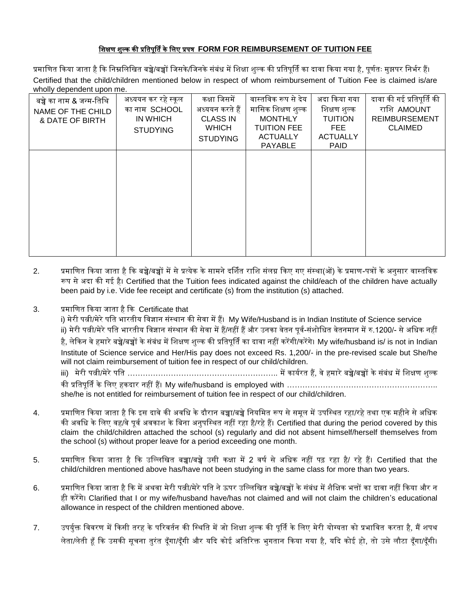## शिक्षण िुल्क की प्रशिपूर्िि के शिए प्रपत्र **FORM FOR REIMBURSEMENT OF TUITION FEE**

प्रमाणित किया जाता है कि निम्नलिखित बच्चे/बच्चों जिसके/जिनके संबंध में शिक्षा शुल्क की प्रतिपूर्ति का दावा किया गया है, पूर्णतः मुझपर निर्भर हैं। Certified that the child/children mentioned below in respect of whom reimbursement of Tuition Fee is claimed is/are wholly dependent upon me.

| बच्चे का नाम & जन्म-तिथि<br>NAME OF THE CHILD<br>& DATE OF BIRTH | अध्ययन कर रहे स्कूल<br>का नाम SCHOOL<br>IN WHICH<br><b>STUDYING</b> | कक्षा जिसमें<br>अध्ययन करते हैं<br><b>CLASS IN</b><br><b>WHICH</b><br><b>STUDYING</b> | वास्तविक रूप से देय<br>मासिक शिक्षण शुल्क<br><b>MONTHLY</b><br><b>TUITION FEE</b><br><b>ACTUALLY</b><br><b>PAYABLE</b> | अदा किया गया<br>शिक्षण शुल्क<br><b>TUITION</b><br>FEE<br><b>ACTUALLY</b><br><b>PAID</b> | दावा की गई प्रतिपूर्ति की<br>राशि AMOUNT<br><b>REIMBURSEMENT</b><br><b>CLAIMED</b> |
|------------------------------------------------------------------|---------------------------------------------------------------------|---------------------------------------------------------------------------------------|------------------------------------------------------------------------------------------------------------------------|-----------------------------------------------------------------------------------------|------------------------------------------------------------------------------------|
|                                                                  |                                                                     |                                                                                       |                                                                                                                        |                                                                                         |                                                                                    |

- 2. प्रमाणित किया जाता है कि बच्चे/बच्चों में से प्रत्येक के सामने दर्शित राशि संलग्न किए गए संस्था(ओं) के प्रमाण-पत्रों के अनुसार वास्तविक रूप से अदा की गई है। Certified that the Tuition fees indicated against the child/each of the children have actually been paid by i.e. Vide fee receipt and certificate (s) from the institution (s) attached.
- 3. प्रमाणित किया जाता है कि Certificate that

i) मेरी पत्नी/मेरे पति भारतीय विज्ञान संस्थान की सेवा में हैं। My Wife/Husband is in Indian Institute of Science service ii) मेरी पत्नी/मेरे पति भारतीय विज्ञान संस्थान की सेवा में हैं/नहीं हैं और उनका वेतन पूर्व-संशोधित वेतनमान में रु.1200/- से अधिक नहीं है, लेकिन वे हमारे बच्चे/बच्चों के संबंध में शिक्षण शुल्क की प्रतिपूर्ति का दावा नहीं करेंगी/करेंगे। My wife/husband is/ is not in Indian Institute of Science service and Her/His pay does not exceed Rs. 1,200/- in the pre-revised scale but She/he will not claim reimbursement of tuition fee in respect of our child/children.

iii) मेरी पत्नी/मेरे पशि ………………………………………………….. में कायिरि हैं, वे हमारे बच्चे/बच्चों के संबंध में शिक्षण िुल्क की प्रशिपूर्िि के शिए हकदार िहीं हैं। My wife/husband is employed with …………………………………………………..

she/he is not entitled for reimbursement of tuition fee in respect of our child/children.

- 4. प्रमाणित किया जाता है कि इस दावे की अवधि के दौरान बच्चा/बच्चे नियमित रूप से समूल में उपस्थित रहा/रहे तथा एक महीने से अधिक की अवधि के लिए वह/वे पूर्व अवकाश के बिना अनुपस्थित नहीं रहा है/रहे हैं। Certified that during the period covered by this claim the child/children attached the school (s) regularly and did not absent himself/herself themselves from the school (s) without proper leave for a period exceeding one month.
- 5. प्रमाणित किया जाता है कि उल्लिखित बच्चा/बच्चे उसी कक्षा में 2 वर्ष से अधिक नहीं पढ़ रहा है/ रहे हैं। Certified that the child/children mentioned above has/have not been studying in the same class for more than two years.
- 6. प्रमाणित किया जाता है कि में अथवा मेरी पत्नी/मेरे पति ने ऊपर उल्लिखित बच्चे/बच्चों के संबंध में शैक्षिक भत्तों का दावा नहीं किया और न ही करेंगे। Clarified that I or my wife/husband have/has not claimed and will not claim the children's educational allowance in respect of the children mentioned above.
- 7. उपर्युक्त विवरण में किसी तरह के परिवर्तन की स्थिति में जो शिक्षा शुल्क की पूर्ति के लिए मेरी योग्यता को प्रभावित करता है, मैं शपथ लेता/लेती हूँ कि उसकी सूचना तुरंत दूँगा/दूँगी और यदि कोई अतिरिक्त भुगतान किया गया है, यदि कोई हो, तो उसे लौटा दूँगा/दूँगी।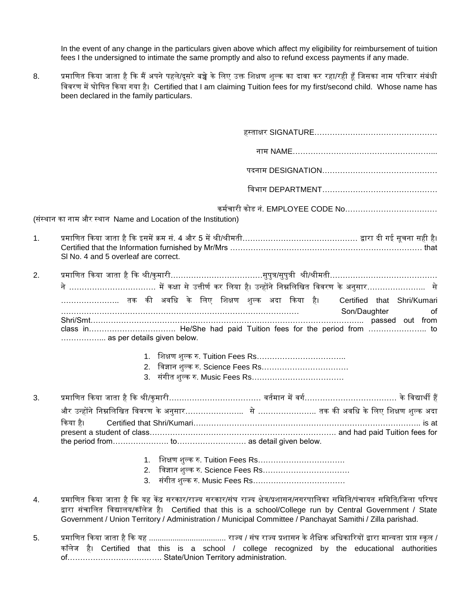In the event of any change in the particulars given above which affect my eligibility for reimbursement of tuition fees I the undersigned to intimate the same promptly and also to refund excess payments if any made.

8. प्रमाणित किया जाता है कि मैं अपने पहले/दूसरे बच्चे के लिए उक्त शिक्षण शुल्क का दावा कर रहा/रही हूँ जिसका नाम परिवार संबंधी शववरण में घोशर्ि ककया गया है। Certified that I am claiming Tuition fees for my first/second child. Whose name has been declared in the family particulars.

|                | कर्मचारी कोड नं. EMPLOYEE CODE No……………………………<br>(संस्थान का नाम और स्थान Name and Location of the Institution)                                                                                                                                                                                                                                     |
|----------------|----------------------------------------------------------------------------------------------------------------------------------------------------------------------------------------------------------------------------------------------------------------------------------------------------------------------------------------------------|
| $\mathbf{1}$ . | प्रमाणित किया जाता है कि इसमें क्रम सं. 4 और 5 में श्री/श्रीमती……………………………………… द्वारा दी गई सूचना सही है।<br>SI No. 4 and 5 overleaf are correct.                                                                                                                                                                                                  |
| 2.             | प्रमाणित किया जाता है कि श्री/कुमारी……………………………….सुपुत्र/सुपुत्री  श्री/श्रीमती……………………………………                                                                                                                                                                                                                                                      |
|                | तक की अवधि के लिए शिक्षण शुल्क अदा किया है।   Certified that Shri/Kumari<br>Son/Daughter<br>of                                                                                                                                                                                                                                                     |
|                | as per details given below.                                                                                                                                                                                                                                                                                                                        |
|                | 1. शिक्षण शुल्क रु. Tuition Fees Rs……………………………                                                                                                                                                                                                                                                                                                     |
| 3.             | प्रमाणित किया जाता है कि श्री/कुमारी……………………………… वर्तमान में वर्ग…………………………… के विद्यार्थी हैं                                                                                                                                                                                                                                                     |
|                | किया है।                                                                                                                                                                                                                                                                                                                                           |
|                | 2. विज्ञान शुल्क रु. Science Fees Rs……………………………<br>3. संगीत शुल्क रु. Music Fees Rs……………………………                                                                                                                                                                                                                                                     |
| 4.             | प्रमाणित किया जाता है कि यह केंद्र सरकार/राज्य सरकार/संघ राज्य क्षेत्र/प्रशासन/नगरपालिका समिति/पंचायत समिति/जिला परिषद<br>द्वारा संचालित विद्यालय/कॉलेज है। Certified that this is a school/College run by Central Government / State<br>Government / Union Territory / Administration / Municipal Committee / Panchayat Samithi / Zilla parishad. |
| 5.             | कॉलेज है। Certified that this is a school / college recognized by the educational authorities                                                                                                                                                                                                                                                      |